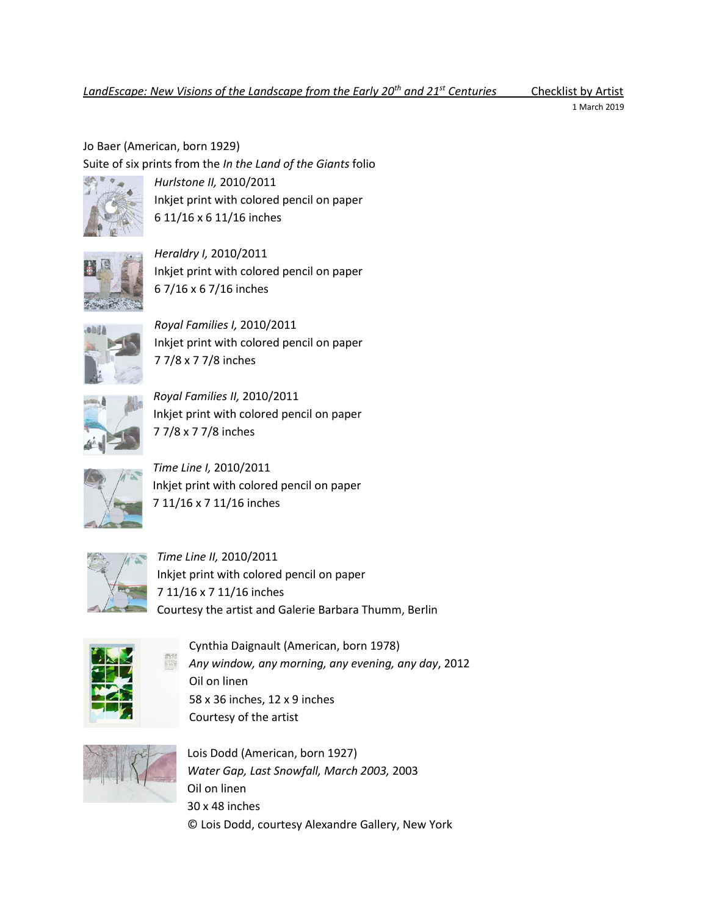1 March 2019

Jo Baer (American, born 1929) Suite of six prints from the *In the Land of the Giants* folio



*Hurlstone II,* 2010/2011 Inkjet print with colored pencil on paper 6 11/16 x 6 11/16 inches



*Heraldry I,* 2010/2011 Inkjet print with colored pencil on paper 6 7/16 x 6 7/16 inches



*Royal Families I,* 2010/2011 Inkjet print with colored pencil on paper 7 7/8 x 7 7/8 inches



*Royal Families II,* 2010/2011 Inkjet print with colored pencil on paper 7 7/8 x 7 7/8 inches



*Time Line I,* 2010/2011 Inkjet print with colored pencil on paper 7 11/16 x 7 11/16 inches



*Time Line II,* 2010/2011 Inkjet print with colored pencil on paper 7 11/16 x 7 11/16 inches Courtesy the artist and Galerie Barbara Thumm, Berlin



Cynthia Daignault (American, born 1978) *Any window, any morning, any evening, any day*, 2012 Oil on linen 58 x 36 inches, 12 x 9 inches Courtesy of the artist



Lois Dodd (American, born 1927) *Water Gap, Last Snowfall, March 2003,* 2003 Oil on linen 30 x 48 inches © Lois Dodd, courtesy Alexandre Gallery, New York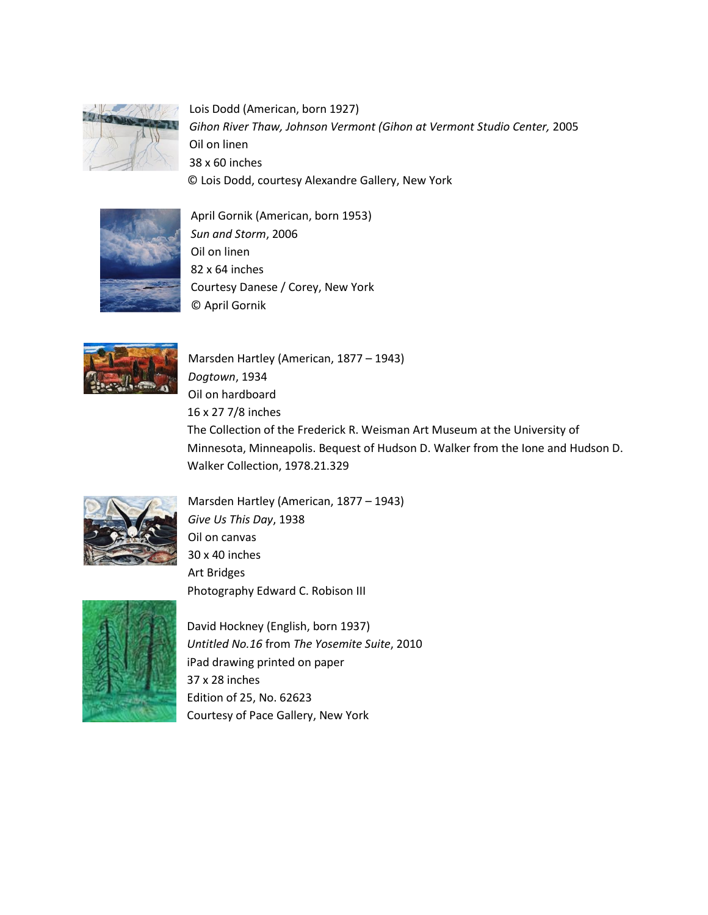

Lois Dodd (American, born 1927) *Gihon River Thaw, Johnson Vermont (Gihon at Vermont Studio Center,* 2005 Oil on linen 38 x 60 inches © Lois Dodd, courtesy Alexandre Gallery, New York



April Gornik (American, born 1953) *Sun and Storm*, 2006 Oil on linen 82 x 64 inches Courtesy Danese / Corey, New York © April Gornik



Marsden Hartley (American, 1877 – 1943) *Dogtown*, 1934 Oil on hardboard 16 x 27 7/8 inches The Collection of the Frederick R. Weisman Art Museum at the University of Minnesota, Minneapolis. Bequest of Hudson D. Walker from the Ione and Hudson D. Walker Collection, 1978.21.329



Marsden Hartley (American, 1877 – 1943) *Give Us This Day*, 1938 Oil on canvas 30 x 40 inches Art Bridges Photography Edward C. Robison III



David Hockney (English, born 1937) *Untitled No.16* from *The Yosemite Suite*, 2010 iPad drawing printed on paper 37 x 28 inches Edition of 25, No. 62623 Courtesy of Pace Gallery, New York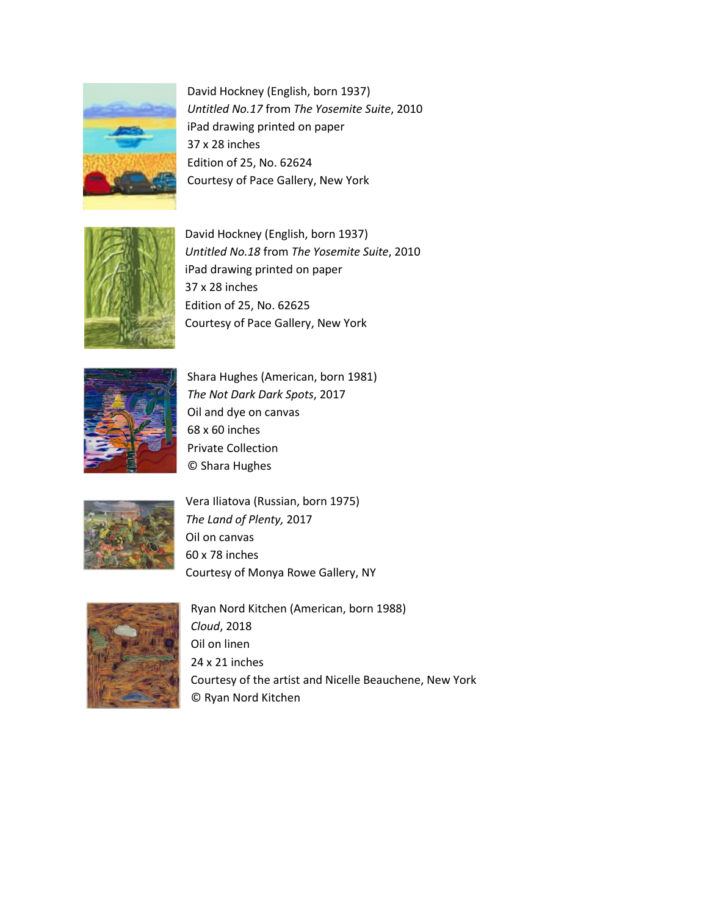

David Hockney (English, born 1937) *Untitled No.17* from *The Yosemite Suite*, 2010 iPad drawing printed on paper 37 x 28 inches Edition of 25, No. 62624 Courtesy of Pace Gallery, New York



David Hockney (English, born 1937) *Untitled No.18* from *The Yosemite Suite*, 2010 iPad drawing printed on paper 37 x 28 inches Edition of 25, No. 62625 Courtesy of Pace Gallery, New York



Shara Hughes (American, born 1981) *The Not Dark Dark Spots*, 2017 Oil and dye on canvas 68 x 60 inches Private Collection © Shara Hughes



Vera Iliatova (Russian, born 1975) *The Land of Plenty,* 2017 Oil on canvas 60 x 78 inches Courtesy of Monya Rowe Gallery, NY



Ryan Nord Kitchen (American, born 1988) *Cloud*, 2018 Oil on linen 24 x 21 inches Courtesy of the artist and Nicelle Beauchene, New York © Ryan Nord Kitchen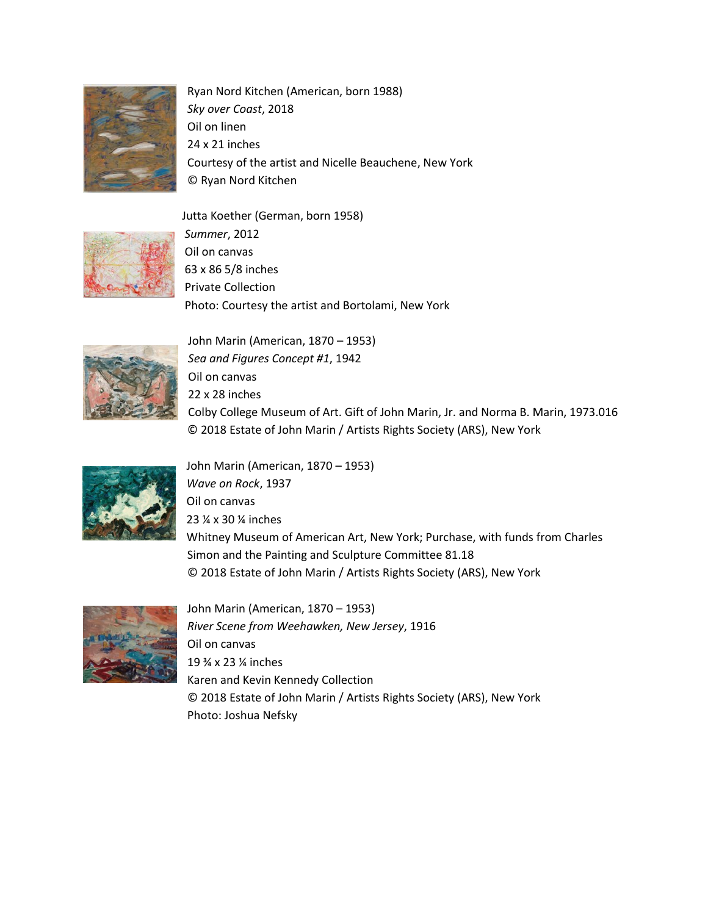

Ryan Nord Kitchen (American, born 1988) *Sky over Coast*, 2018 Oil on linen 24 x 21 inches Courtesy of the artist and Nicelle Beauchene, New York © Ryan Nord Kitchen

Jutta Koether (German, born 1958)



*Summer*, 2012 Oil on canvas 63 x 86 5/8 inches Private Collection Photo: Courtesy the artist and Bortolami, New York



John Marin (American, 1870 – 1953) *Sea and Figures Concept #1*, 1942 Oil on canvas 22 x 28 inches Colby College Museum of Art. Gift of John Marin, Jr. and Norma B. Marin, 1973.016 © 2018 Estate of John Marin / Artists Rights Society (ARS), New York



John Marin (American, 1870 – 1953) *Wave on Rock*, 1937 Oil on canvas 23 ¼ x 30 ¼ inches Whitney Museum of American Art, New York; Purchase, with funds from Charles Simon and the Painting and Sculpture Committee 81.18 © 2018 Estate of John Marin / Artists Rights Society (ARS), New York



John Marin (American, 1870 – 1953) *River Scene from Weehawken, New Jersey*, 1916 Oil on canvas 19 ¾ x 23 ¼ inches Karen and Kevin Kennedy Collection © 2018 Estate of John Marin / Artists Rights Society (ARS), New York Photo: Joshua Nefsky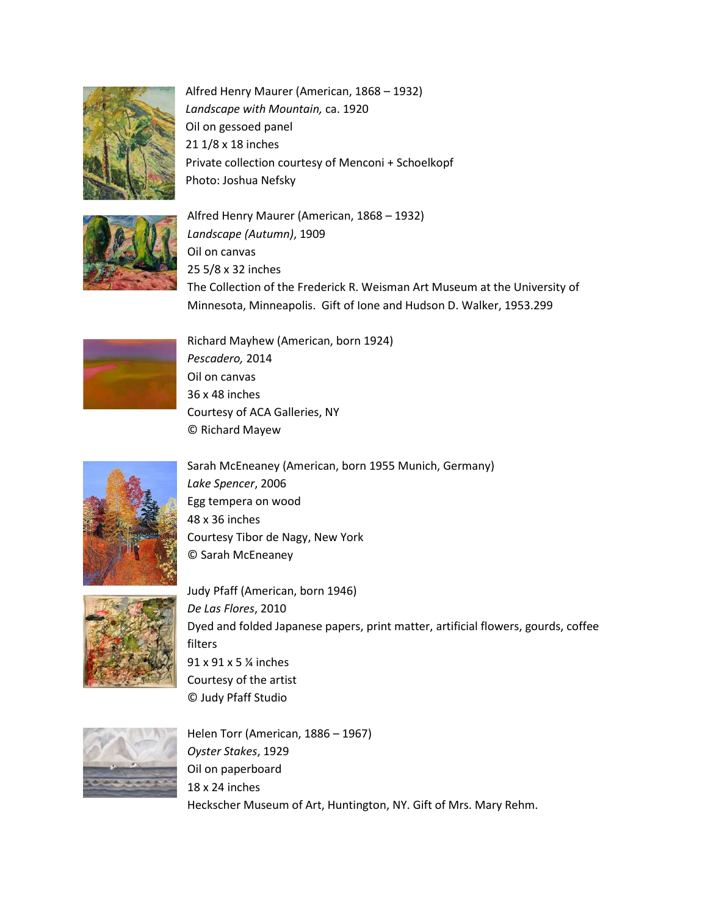

Alfred Henry Maurer (American, 1868 – 1932) *Landscape with Mountain,* ca. 1920 Oil on gessoed panel 21 1/8 x 18 inches Private collection courtesy of Menconi + Schoelkopf Photo: Joshua Nefsky



Alfred Henry Maurer (American, 1868 – 1932) *Landscape (Autumn)*, 1909 Oil on canvas 25 5/8 x 32 inches The Collection of the Frederick R. Weisman Art Museum at the University of Minnesota, Minneapolis. Gift of Ione and Hudson D. Walker, 1953.299



Richard Mayhew (American, born 1924) *Pescadero,* 2014 Oil on canvas 36 x 48 inches Courtesy of ACA Galleries, NY © Richard Mayew



Sarah McEneaney (American, born 1955 Munich, Germany) *Lake Spencer*, 2006 Egg tempera on wood 48 x 36 inches Courtesy Tibor de Nagy, New York © Sarah McEneaney



Judy Pfaff (American, born 1946) *De Las Flores*, 2010 Dyed and folded Japanese papers, print matter, artificial flowers, gourds, coffee filters 91 x 91 x 5 ¼ inches Courtesy of the artist © Judy Pfaff Studio

Helen Torr (American, 1886 – 1967) *Oyster Stakes*, 1929 Oil on paperboard 18 x 24 inches Heckscher Museum of Art, Huntington, NY. Gift of Mrs. Mary Rehm.